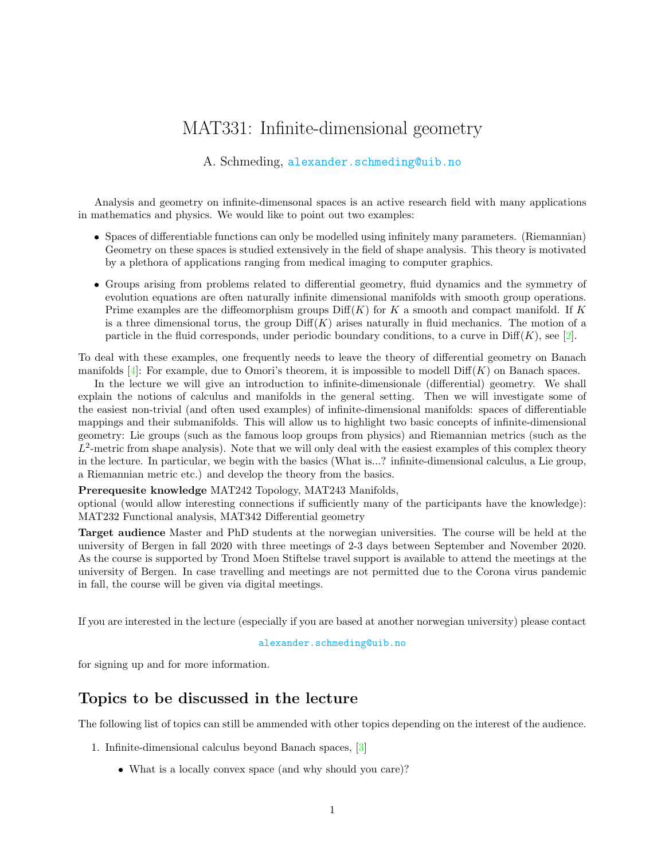# MAT331: Infinite-dimensional geometry

### A. Schmeding, <alexander.schmeding@uib.no>

Analysis and geometry on infinite-dimensonal spaces is an active research field with many applications in mathematics and physics. We would like to point out two examples:

- Spaces of differentiable functions can only be modelled using infinitely many parameters. (Riemannian) Geometry on these spaces is studied extensively in the field of shape analysis. This theory is motivated by a plethora of applications ranging from medical imaging to computer graphics.
- Groups arising from problems related to differential geometry, fluid dynamics and the symmetry of evolution equations are often naturally infinite dimensional manifolds with smooth group operations. Prime examples are the diffeomorphism groups  $\text{Diff}(K)$  for K a smooth and compact manifold. If K is a three dimensional torus, the group  $\text{Diff}(K)$  arises naturally in fluid mechanics. The motion of a particle in the fluid corresponds, under periodic boundary conditions, to a curve in  $\text{Diff}(K)$ , see [\[2\]](#page-1-0).

To deal with these examples, one frequently needs to leave the theory of differential geometry on Banach manifolds  $[4]$ : For example, due to Omori's theorem, it is impossible to modell  $\text{Diff}(K)$  on Banach spaces.

In the lecture we will give an introduction to infinite-dimensionale (differential) geometry. We shall explain the notions of calculus and manifolds in the general setting. Then we will investigate some of the easiest non-trivial (and often used examples) of infinite-dimensional manifolds: spaces of differentiable mappings and their submanifolds. This will allow us to highlight two basic concepts of infinite-dimensional geometry: Lie groups (such as the famous loop groups from physics) and Riemannian metrics (such as the  $L^2$ -metric from shape analysis). Note that we will only deal with the easiest examples of this complex theory in the lecture. In particular, we begin with the basics (What is...? infinite-dimensional calculus, a Lie group, a Riemannian metric etc.) and develop the theory from the basics.

Prerequesite knowledge MAT242 Topology, MAT243 Manifolds,

optional (would allow interesting connections if sufficiently many of the participants have the knowledge): MAT232 Functional analysis, MAT342 Differential geometry

Target audience Master and PhD students at the norwegian universities. The course will be held at the university of Bergen in fall 2020 with three meetings of 2-3 days between September and November 2020. As the course is supported by Trond Moen Stiftelse travel support is available to attend the meetings at the university of Bergen. In case travelling and meetings are not permitted due to the Corona virus pandemic in fall, the course will be given via digital meetings.

If you are interested in the lecture (especially if you are based at another norwegian university) please contact

#### <alexander.schmeding@uib.no>

for signing up and for more information.

### Topics to be discussed in the lecture

The following list of topics can still be ammended with other topics depending on the interest of the audience.

- 1. Infinite-dimensional calculus beyond Banach spaces, [\[3\]](#page-1-2)
	- What is a locally convex space (and why should you care)?